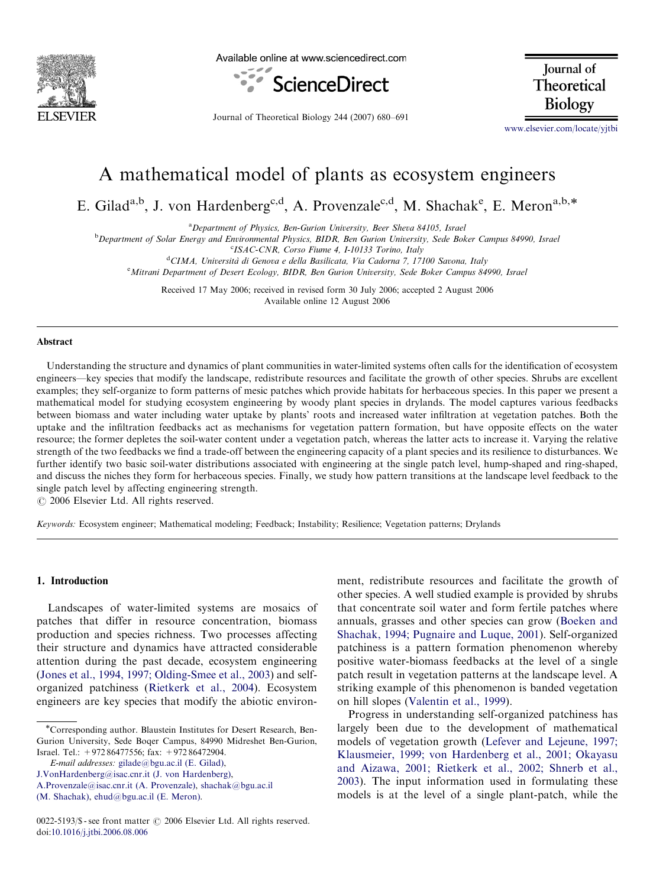

Available online at www.sciencedirect.com



Journal of Theoretical **Biology** 

Journal of Theoretical Biology 244 (2007) 680–691

<www.elsevier.com/locate/yjtbi>

# A mathematical model of plants as ecosystem engineers

E. Gilad<sup>a,b</sup>, J. von Hardenberg<sup>c,d</sup>, A. Provenzale<sup>c,d</sup>, M. Shachak<sup>e</sup>, E. Meron<sup>a,b,\*</sup>

<sup>a</sup>Department of Physics, Ben-Gurion University, Beer Sheva 84105, Israel

<sup>b</sup> Department of Solar Energy and Environmental Physics, BIDR, Ben Gurion University, Sede Boker Campus 84990, Israel

<sup>c</sup>ISAC-CNR, Corso Fiume 4, I-10133 Torino, Italy

<sup>d</sup>CIMA, Università di Genova e della Basilicata, Via Cadorna 7, 17100 Savona, Italy

<sup>e</sup> Mitrani Department of Desert Ecology, BIDR, Ben Gurion University, Sede Boker Campus 84990, Israel

Received 17 May 2006; received in revised form 30 July 2006; accepted 2 August 2006 Available online 12 August 2006

#### Abstract

Understanding the structure and dynamics of plant communities in water-limited systems often calls for the identification of ecosystem engineers—key species that modify the landscape, redistribute resources and facilitate the growth of other species. Shrubs are excellent examples; they self-organize to form patterns of mesic patches which provide habitats for herbaceous species. In this paper we present a mathematical model for studying ecosystem engineering by woody plant species in drylands. The model captures various feedbacks between biomass and water including water uptake by plants' roots and increased water infiltration at vegetation patches. Both the uptake and the infiltration feedbacks act as mechanisms for vegetation pattern formation, but have opposite effects on the water resource; the former depletes the soil-water content under a vegetation patch, whereas the latter acts to increase it. Varying the relative strength of the two feedbacks we find a trade-off between the engineering capacity of a plant species and its resilience to disturbances. We further identify two basic soil-water distributions associated with engineering at the single patch level, hump-shaped and ring-shaped, and discuss the niches they form for herbaceous species. Finally, we study how pattern transitions at the landscape level feedback to the single patch level by affecting engineering strength.

 $\odot$  2006 Elsevier Ltd. All rights reserved.

Keywords: Ecosystem engineer; Mathematical modeling; Feedback; Instability; Resilience; Vegetation patterns; Drylands

# 1. Introduction

Landscapes of water-limited systems are mosaics of patches that differ in resource concentration, biomass production and species richness. Two processes affecting their structure and dynamics have attracted considerable attention during the past decade, ecosystem engineering [\(Jones et al., 1994, 1997; Olding-Smee et al., 2003\)](#page-10-0) and selforganized patchiness ([Rietkerk et al., 2004](#page-11-0)). Ecosystem engineers are key species that modify the abiotic environ-

E-mail addresses: [gilade@bgu.ac.il \(E. Gilad\),](mailto:gilade@bgu.ac.il)

[J.VonHardenberg@isac.cnr.it \(J. von Hardenberg\),](mailto:J.VonHardenberg@isac.cnr.it)

ment, redistribute resources and facilitate the growth of other species. A well studied example is provided by shrubs that concentrate soil water and form fertile patches where annuals, grasses and other species can grow [\(Boeken and](#page-10-0) [Shachak, 1994; Pugnaire and Luque, 2001\)](#page-10-0). Self-organized patchiness is a pattern formation phenomenon whereby positive water-biomass feedbacks at the level of a single patch result in vegetation patterns at the landscape level. A striking example of this phenomenon is banded vegetation on hill slopes [\(Valentin et al., 1999](#page-11-0)).

Progress in understanding self-organized patchiness has largely been due to the development of mathematical models of vegetation growth [\(Lefever and Lejeune, 1997;](#page-11-0) [Klausmeier, 1999; von Hardenberg et al., 2001; Okayasu](#page-11-0) [and Aizawa, 2001; Rietkerk et al., 2002; Shnerb et al.,](#page-11-0) [2003\)](#page-11-0). The input information used in formulating these models is at the level of a single plant-patch, while the

<sup>-</sup>Corresponding author. Blaustein Institutes for Desert Research, Ben-Gurion University, Sede Boqer Campus, 84990 Midreshet Ben-Gurion, Israel. Tel.: +972 86477556; fax: +972 86472904.

[A.Provenzale@isac.cnr.it \(A. Provenzale\),](mailto:shachak@bgu.ac.il) shachak@bgu.ac.il

<sup>(</sup>M. Shachak), [ehud@bgu.ac.il \(E. Meron\).](mailto:ehud@bgu.ac.il)

<sup>0022-5193/\$ -</sup> see front matter © 2006 Elsevier Ltd. All rights reserved. doi:[10.1016/j.jtbi.2006.08.006](dx.doi.org/10.1016/j.jtbi.2006.08.006)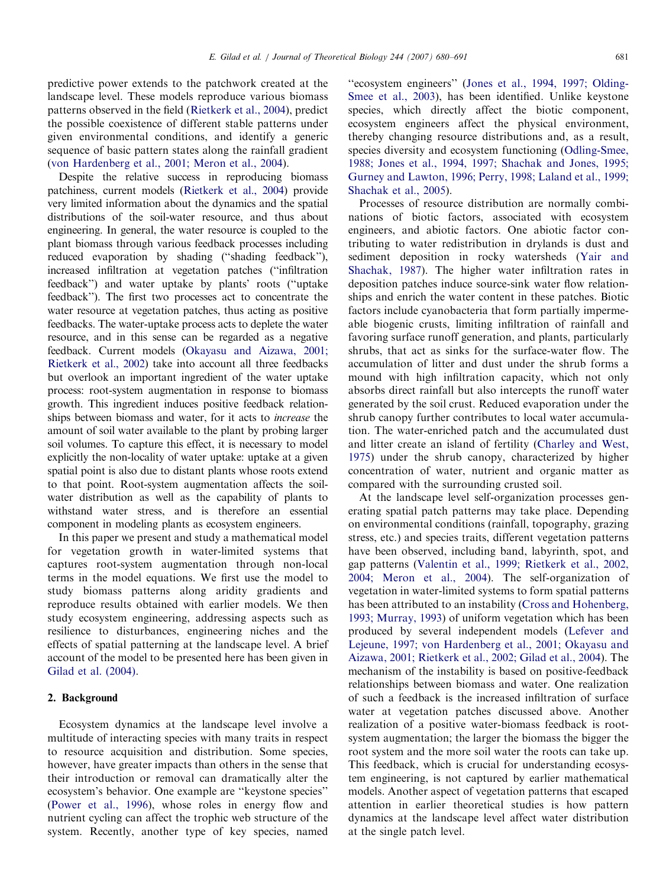predictive power extends to the patchwork created at the landscape level. These models reproduce various biomass patterns observed in the field [\(Rietkerk et al., 2004\)](#page-11-0), predict the possible coexistence of different stable patterns under given environmental conditions, and identify a generic sequence of basic pattern states along the rainfall gradient ([von Hardenberg et al., 2001; Meron et al., 2004\)](#page-11-0).

Despite the relative success in reproducing biomass patchiness, current models [\(Rietkerk et al., 2004](#page-11-0)) provide very limited information about the dynamics and the spatial distributions of the soil-water resource, and thus about engineering. In general, the water resource is coupled to the plant biomass through various feedback processes including reduced evaporation by shading ("shading feedback"), increased infiltration at vegetation patches (''infiltration feedback'') and water uptake by plants' roots (''uptake feedback''). The first two processes act to concentrate the water resource at vegetation patches, thus acting as positive feedbacks. The water-uptake process acts to deplete the water resource, and in this sense can be regarded as a negative feedback. Current models [\(Okayasu and Aizawa, 2001;](#page-11-0) [Rietkerk et al., 2002](#page-11-0)) take into account all three feedbacks but overlook an important ingredient of the water uptake process: root-system augmentation in response to biomass growth. This ingredient induces positive feedback relationships between biomass and water, for it acts to increase the amount of soil water available to the plant by probing larger soil volumes. To capture this effect, it is necessary to model explicitly the non-locality of water uptake: uptake at a given spatial point is also due to distant plants whose roots extend to that point. Root-system augmentation affects the soilwater distribution as well as the capability of plants to withstand water stress, and is therefore an essential component in modeling plants as ecosystem engineers.

In this paper we present and study a mathematical model for vegetation growth in water-limited systems that captures root-system augmentation through non-local terms in the model equations. We first use the model to study biomass patterns along aridity gradients and reproduce results obtained with earlier models. We then study ecosystem engineering, addressing aspects such as resilience to disturbances, engineering niches and the effects of spatial patterning at the landscape level. A brief account of the model to be presented here has been given in [Gilad et al. \(2004\)](#page-10-0).

# 2. Background

Ecosystem dynamics at the landscape level involve a multitude of interacting species with many traits in respect to resource acquisition and distribution. Some species, however, have greater impacts than others in the sense that their introduction or removal can dramatically alter the ecosystem's behavior. One example are ''keystone species'' ([Power et al., 1996](#page-11-0)), whose roles in energy flow and nutrient cycling can affect the trophic web structure of the system. Recently, another type of key species, named ''ecosystem engineers'' [\(Jones et al., 1994, 1997; Olding-](#page-10-0)[Smee et al., 2003](#page-10-0)), has been identified. Unlike keystone species, which directly affect the biotic component, ecosystem engineers affect the physical environment, thereby changing resource distributions and, as a result, species diversity and ecosystem functioning ([Odling-Smee,](#page-11-0) [1988; Jones et al., 1994, 1997; Shachak and Jones, 1995;](#page-11-0) [Gurney and Lawton, 1996; Perry, 1998; Laland et al., 1999;](#page-11-0) [Shachak et al., 2005\)](#page-11-0).

Processes of resource distribution are normally combinations of biotic factors, associated with ecosystem engineers, and abiotic factors. One abiotic factor contributing to water redistribution in drylands is dust and sediment deposition in rocky watersheds ([Yair and](#page-11-0) [Shachak, 1987\)](#page-11-0). The higher water infiltration rates in deposition patches induce source-sink water flow relationships and enrich the water content in these patches. Biotic factors include cyanobacteria that form partially impermeable biogenic crusts, limiting infiltration of rainfall and favoring surface runoff generation, and plants, particularly shrubs, that act as sinks for the surface-water flow. The accumulation of litter and dust under the shrub forms a mound with high infiltration capacity, which not only absorbs direct rainfall but also intercepts the runoff water generated by the soil crust. Reduced evaporation under the shrub canopy further contributes to local water accumulation. The water-enriched patch and the accumulated dust and litter create an island of fertility ([Charley and West,](#page-10-0) [1975](#page-10-0)) under the shrub canopy, characterized by higher concentration of water, nutrient and organic matter as compared with the surrounding crusted soil.

At the landscape level self-organization processes generating spatial patch patterns may take place. Depending on environmental conditions (rainfall, topography, grazing stress, etc.) and species traits, different vegetation patterns have been observed, including band, labyrinth, spot, and gap patterns [\(Valentin et al., 1999; Rietkerk et al., 2002,](#page-11-0) [2004; Meron et al., 2004\)](#page-11-0). The self-organization of vegetation in water-limited systems to form spatial patterns has been attributed to an instability [\(Cross and Hohenberg,](#page-10-0) [1993; Murray, 1993](#page-10-0)) of uniform vegetation which has been produced by several independent models [\(Lefever and](#page-11-0) [Lejeune, 1997; von Hardenberg et al., 2001; Okayasu and](#page-11-0) [Aizawa, 2001; Rietkerk et al., 2002; Gilad et al., 2004](#page-11-0)). The mechanism of the instability is based on positive-feedback relationships between biomass and water. One realization of such a feedback is the increased infiltration of surface water at vegetation patches discussed above. Another realization of a positive water-biomass feedback is rootsystem augmentation; the larger the biomass the bigger the root system and the more soil water the roots can take up. This feedback, which is crucial for understanding ecosystem engineering, is not captured by earlier mathematical models. Another aspect of vegetation patterns that escaped attention in earlier theoretical studies is how pattern dynamics at the landscape level affect water distribution at the single patch level.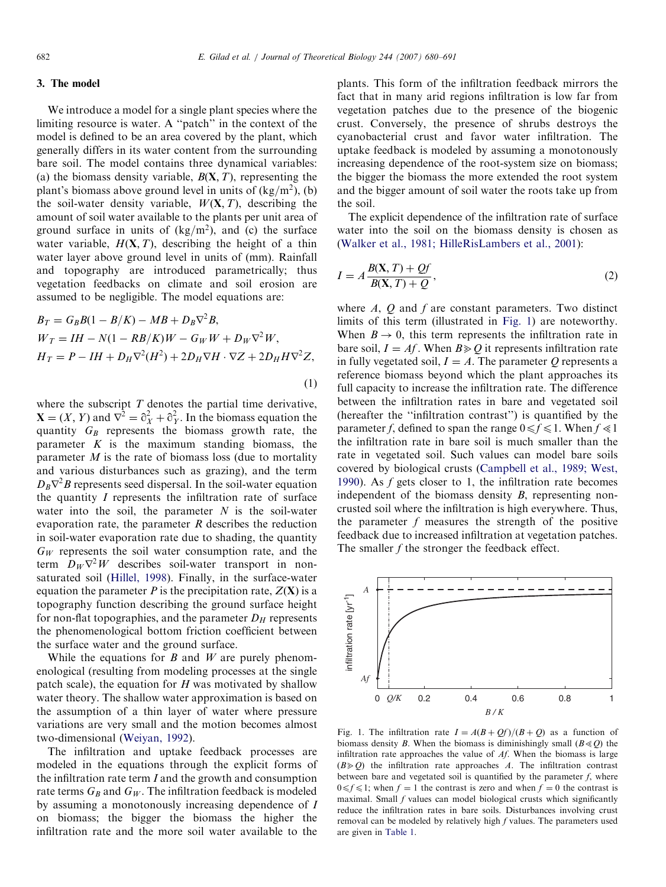# 3. The model

We introduce a model for a single plant species where the limiting resource is water. A ''patch'' in the context of the model is defined to be an area covered by the plant, which generally differs in its water content from the surrounding bare soil. The model contains three dynamical variables: (a) the biomass density variable,  $B(X, T)$ , representing the plant's biomass above ground level in units of  $(kg/m^2)$ , (b) the soil-water density variable,  $W(X, T)$ , describing the amount of soil water available to the plants per unit area of ground surface in units of  $(kg/m^2)$ , and (c) the surface water variable,  $H(X, T)$ , describing the height of a thin water layer above ground level in units of (mm). Rainfall and topography are introduced parametrically; thus vegetation feedbacks on climate and soil erosion are assumed to be negligible. The model equations are:

$$
B_T = G_B B (1 - B/K) - MB + D_B \nabla^2 B,
$$
  
\n
$$
W_T = IH - N(1 - RB/K)W - G_W W + D_W \nabla^2 W,
$$
  
\n
$$
H_T = P - IH + D_H \nabla^2 (H^2) + 2D_H \nabla H \cdot \nabla Z + 2D_H H \nabla^2 Z,
$$

 $(1)$ 

where the subscript  $T$  denotes the partial time derivative,  $X = (X, Y)$  and  $\nabla^2 = \partial_X^2 + \partial_Y^2$ . In the biomass equation the quantity  $G_B$  represents the biomass growth rate, the parameter  $K$  is the maximum standing biomass, the parameter  $M$  is the rate of biomass loss (due to mortality and various disturbances such as grazing), and the term  $D_B\nabla^2 B$  represents seed dispersal. In the soil-water equation the quantity  $I$  represents the infiltration rate of surface water into the soil, the parameter  $N$  is the soil-water evaporation rate, the parameter  $R$  describes the reduction in soil-water evaporation rate due to shading, the quantity  $G_W$  represents the soil water consumption rate, and the term  $D_W \nabla^2 W$  describes soil-water transport in nonsaturated soil ([Hillel, 1998](#page-10-0)). Finally, in the surface-water equation the parameter P is the precipitation rate,  $Z(X)$  is a topography function describing the ground surface height for non-flat topographies, and the parameter  $D_H$  represents the phenomenological bottom friction coefficient between the surface water and the ground surface.

While the equations for  $B$  and  $W$  are purely phenomenological (resulting from modeling processes at the single patch scale), the equation for  $H$  was motivated by shallow water theory. The shallow water approximation is based on the assumption of a thin layer of water where pressure variations are very small and the motion becomes almost two-dimensional [\(Weiyan, 1992\)](#page-11-0).

The infiltration and uptake feedback processes are modeled in the equations through the explicit forms of the infiltration rate term  $I$  and the growth and consumption rate terms  $G_B$  and  $G_W$ . The infiltration feedback is modeled by assuming a monotonously increasing dependence of I on biomass; the bigger the biomass the higher the infiltration rate and the more soil water available to the

plants. This form of the infiltration feedback mirrors the fact that in many arid regions infiltration is low far from vegetation patches due to the presence of the biogenic crust. Conversely, the presence of shrubs destroys the cyanobacterial crust and favor water infiltration. The uptake feedback is modeled by assuming a monotonously increasing dependence of the root-system size on biomass; the bigger the biomass the more extended the root system and the bigger amount of soil water the roots take up from the soil.

The explicit dependence of the infiltration rate of surface water into the soil on the biomass density is chosen as [\(Walker et al., 1981; HilleRisLambers et al., 2001](#page-11-0)):

$$
I = A \frac{B(\mathbf{X}, T) + Qf}{B(\mathbf{X}, T) + Q},\tag{2}
$$

where  $A$ ,  $Q$  and  $f$  are constant parameters. Two distinct limits of this term (illustrated in Fig. 1) are noteworthy. When  $B \to 0$ , this term represents the infiltration rate in bare soil,  $I = Af$ . When  $B \ge 0$  it represents infiltration rate in fully vegetated soil,  $I = A$ . The parameter Q represents a reference biomass beyond which the plant approaches its full capacity to increase the infiltration rate. The difference between the infiltration rates in bare and vegetated soil (hereafter the ''infiltration contrast'') is quantified by the parameter f, defined to span the range  $0 \le f \le 1$ . When  $f \le 1$ the infiltration rate in bare soil is much smaller than the rate in vegetated soil. Such values can model bare soils covered by biological crusts [\(Campbell et al., 1989; West,](#page-10-0) [1990\)](#page-10-0). As f gets closer to 1, the infiltration rate becomes independent of the biomass density  $B$ , representing noncrusted soil where the infiltration is high everywhere. Thus, the parameter  $f$  measures the strength of the positive feedback due to increased infiltration at vegetation patches. The smaller  $f$  the stronger the feedback effect.



Fig. 1. The infiltration rate  $I = A(B+Qf)/(B+Q)$  as a function of biomass density B. When the biomass is diminishingly small  $(B \leq Q)$  the infiltration rate approaches the value of  $Af$ . When the biomass is large  $(B \geq 0)$  the infiltration rate approaches A. The infiltration contrast between bare and vegetated soil is quantified by the parameter  $f$ , where  $0 \le f \le 1$ ; when  $f = 1$  the contrast is zero and when  $f = 0$  the contrast is maximal. Small  $f$  values can model biological crusts which significantly reduce the infiltration rates in bare soils. Disturbances involving crust removal can be modeled by relatively high  $f$  values. The parameters used are given in [Table 1.](#page-3-0)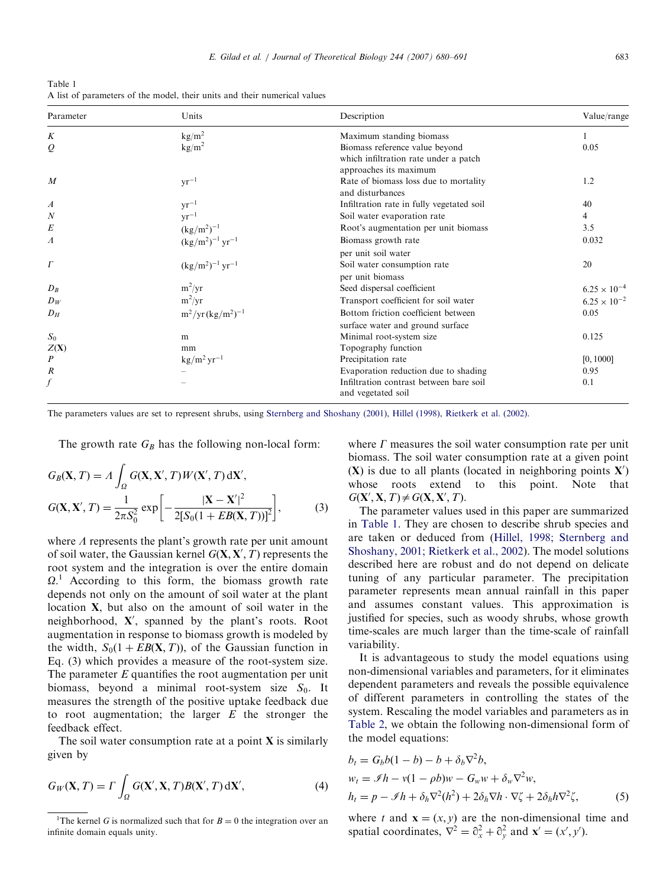<span id="page-3-0"></span>Table 1 A list of parameters of the model, their units and their numerical values

| Parameter              | Units                                         | Description                                                                                       | Value/range           |
|------------------------|-----------------------------------------------|---------------------------------------------------------------------------------------------------|-----------------------|
| K                      | kg/m <sup>2</sup>                             | Maximum standing biomass                                                                          |                       |
| $\mathcal{Q}$          | kg/m <sup>2</sup>                             | Biomass reference value beyond<br>which infiltration rate under a patch<br>approaches its maximum | 0.05                  |
| $\boldsymbol{M}$       | $yr^{-1}$                                     | Rate of biomass loss due to mortality<br>and disturbances                                         | 1.2                   |
| $\boldsymbol{A}$       | $\rm{yr}^{-1}$                                | Infiltration rate in fully vegetated soil                                                         | 40                    |
| $\boldsymbol{N}$       | $yr^{-1}$                                     | Soil water evaporation rate                                                                       | 4                     |
| $\cal E$               | $(kg/m^2)^{-1}$                               | Root's augmentation per unit biomass                                                              | 3.5                   |
| $\boldsymbol{\Lambda}$ | $(\text{kg}/\text{m}^2)^{-1} \text{ yr}^{-1}$ | Biomass growth rate                                                                               | 0.032                 |
|                        |                                               | per unit soil water                                                                               |                       |
| $\varGamma$            | $(\text{kg}/\text{m}^2)^{-1} \text{ yr}^{-1}$ | Soil water consumption rate                                                                       | 20                    |
|                        |                                               | per unit biomass                                                                                  |                       |
| $D_B$                  | $m^2/yr$                                      | Seed dispersal coefficient                                                                        | $6.25 \times 10^{-4}$ |
| $D_W$                  | $m^2/yr$                                      | Transport coefficient for soil water                                                              | $6.25 \times 10^{-2}$ |
| $D_H$                  | $m^2/yr (kg/m^2)^{-1}$                        | Bottom friction coefficient between                                                               | 0.05                  |
|                        |                                               | surface water and ground surface                                                                  |                       |
| $S_0$                  | m                                             | Minimal root-system size                                                                          | 0.125                 |
| Z(X)                   | mm                                            | Topography function                                                                               |                       |
| $\boldsymbol{P}$       | $\text{kg/m}^2 \text{ yr}^{-1}$               | Precipitation rate                                                                                | [0, 1000]             |
| $\boldsymbol{R}$       |                                               | Evaporation reduction due to shading                                                              | 0.95                  |
| $\boldsymbol{f}$       |                                               | Infiltration contrast between bare soil<br>and vegetated soil                                     | 0.1                   |

The parameters values are set to represent shrubs, using [Sternberg and Shoshany \(2001\)](#page-11-0), [Hillel \(1998\),](#page-10-0) [Rietkerk et al. \(2002\).](#page-11-0)

The growth rate  $G_B$  has the following non-local form:

$$
G_B(\mathbf{X}, T) = A \int_{\Omega} G(\mathbf{X}, \mathbf{X}', T) W(\mathbf{X}', T) d\mathbf{X}',
$$
  

$$
G(\mathbf{X}, \mathbf{X}', T) = \frac{1}{2\pi S_0^2} \exp\left[-\frac{|\mathbf{X} - \mathbf{X}'|^2}{2[S_0(1 + EB(\mathbf{X}, T))]^2}\right],
$$
 (3)

where  $\Lambda$  represents the plant's growth rate per unit amount of soil water, the Gaussian kernel  $G(X, X', T)$  represents the root system and the integration is over the entire domain  $\Omega$ <sup>1</sup> According to this form, the biomass growth rate depends not only on the amount of soil water at the plant location X, but also on the amount of soil water in the neighborhood, X', spanned by the plant's roots. Root augmentation in response to biomass growth is modeled by the width,  $S_0(1 + EB(X, T))$ , of the Gaussian function in Eq. (3) which provides a measure of the root-system size. The parameter  $E$  quantifies the root augmentation per unit biomass, beyond a minimal root-system size  $S_0$ . It measures the strength of the positive uptake feedback due to root augmentation; the larger  $E$  the stronger the feedback effect.

The soil water consumption rate at a point  $X$  is similarly given by

$$
G_W(\mathbf{X}, T) = \Gamma \int_{\Omega} G(\mathbf{X}', \mathbf{X}, T) B(\mathbf{X}', T) \, d\mathbf{X}',\tag{4}
$$

where  $\Gamma$  measures the soil water consumption rate per unit biomass. The soil water consumption rate at a given point  $(X)$  is due to all plants (located in neighboring points  $X'$ ) whose roots extend to this point. Note that  $G(X', X, T) \neq G(X, X', T).$ 

The parameter values used in this paper are summarized in Table 1. They are chosen to describe shrub species and are taken or deduced from ([Hillel, 1998; Sternberg and](#page-10-0) [Shoshany, 2001; Rietkerk et al., 2002](#page-10-0)). The model solutions described here are robust and do not depend on delicate tuning of any particular parameter. The precipitation parameter represents mean annual rainfall in this paper and assumes constant values. This approximation is justified for species, such as woody shrubs, whose growth time-scales are much larger than the time-scale of rainfall variability.

It is advantageous to study the model equations using non-dimensional variables and parameters, for it eliminates dependent parameters and reveals the possible equivalence of different parameters in controlling the states of the system. Rescaling the model variables and parameters as in [Table 2,](#page-4-0) we obtain the following non-dimensional form of the model equations:

$$
b_t = G_b b(1 - b) - b + \delta_b \nabla^2 b,
$$
  
\n
$$
w_t = \mathcal{I}h - v(1 - \rho b)w - G_w w + \delta_w \nabla^2 w,
$$
  
\n
$$
h_t = p - \mathcal{I}h + \delta_h \nabla^2 (h^2) + 2\delta_h \nabla h \cdot \nabla \zeta + 2\delta_h h \nabla^2 \zeta,
$$
\n(5)

where t and  $\mathbf{x} = (x, y)$  are the non-dimensional time and spatial coordinates,  $\nabla^2 = \partial_x^2 + \partial_y^2$  and  $\mathbf{x}' = (x', y')$ .

<sup>&</sup>lt;sup>1</sup>The kernel G is normalized such that for  $B = 0$  the integration over an infinite domain equals unity.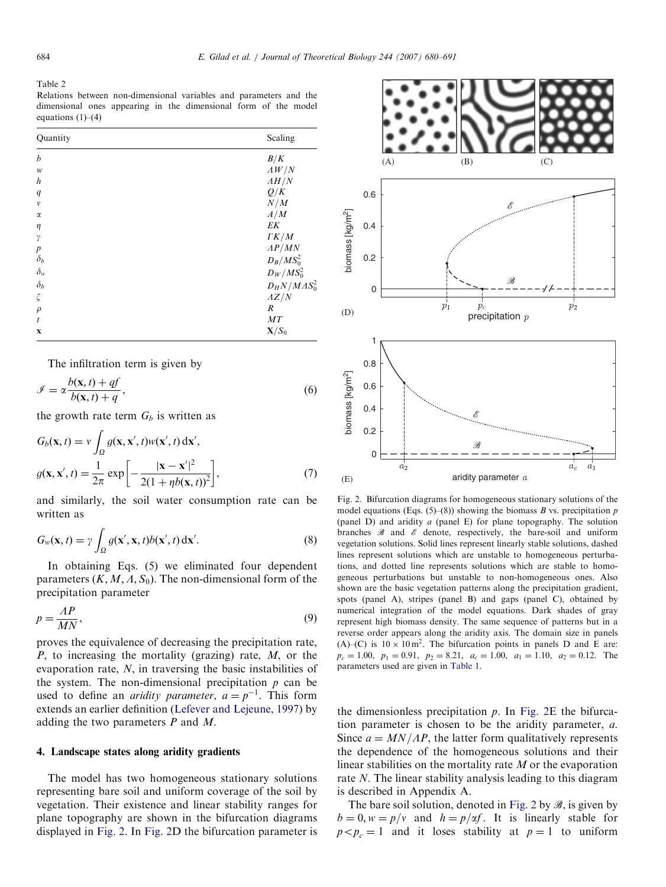<span id="page-4-0"></span>Table 2

Relations between non-dimensional variables and parameters and the dimensional ones appearing in the dimensional form of the model equations  $(1)$ – $(4)$ 

| Quantity         | Scaling          |
|------------------|------------------|
| b                | B/K              |
| w                | $\Lambda W/N$    |
| $\boldsymbol{h}$ | AH/N             |
| q                | Q/K              |
| $\mathcal{V}$    | N/M              |
| $\alpha$         | A/M              |
| η                | EK               |
| $\gamma$         | $\Gamma K/M$     |
| $\boldsymbol{p}$ | AP/MN            |
| $\delta_b$       | $D_B/MS_0^2$     |
| $\delta_w$       | $D_W/MS_0^2$     |
| $\delta_h$       | $D_H N/MAS_0^2$  |
| ζ                | AZ/N             |
| $\rho$           | $\boldsymbol{R}$ |
| $\dot{t}$        | MT               |
| $\mathbf x$      | $X/S_0$          |

The infiltration term is given by

$$
\mathcal{I} = \alpha \frac{b(\mathbf{x}, t) + qf}{b(\mathbf{x}, t) + q},\tag{6}
$$

the growth rate term  $G_b$  is written as

$$
G_b(\mathbf{x}, t) = v \int_{\Omega} g(\mathbf{x}, \mathbf{x}', t) w(\mathbf{x}', t) d\mathbf{x}',
$$

$$
g(\mathbf{x}, \mathbf{x}', t) = \frac{1}{2\pi} \exp\left[-\frac{|\mathbf{x} - \mathbf{x}'|^2}{2(1 + \eta b(\mathbf{x}, t))^2}\right],
$$
(7)

and similarly, the soil water consumption rate can be written as

$$
G_w(\mathbf{x}, t) = \gamma \int_{\Omega} g(\mathbf{x}', \mathbf{x}, t) b(\mathbf{x}', t) \, d\mathbf{x}'. \tag{8}
$$

In obtaining Eqs. (5) we eliminated four dependent parameters  $(K, M, A, S_0)$ . The non-dimensional form of the precipitation parameter

$$
p = \frac{AP}{MN},\tag{9}
$$

proves the equivalence of decreasing the precipitation rate, P, to increasing the mortality (grazing) rate, M, or the evaporation rate, N, in traversing the basic instabilities of the system. The non-dimensional precipitation  $p$  can be used to define an *aridity parameter*,  $a = p^{-1}$ . This form extends an earlier definition ([Lefever and Lejeune, 1997](#page-11-0)) by adding the two parameters P and M.

## 4. Landscape states along aridity gradients

The model has two homogeneous stationary solutions representing bare soil and uniform coverage of the soil by vegetation. Their existence and linear stability ranges for plane topography are shown in the bifurcation diagrams displayed in Fig. 2. In Fig. 2D the bifurcation parameter is



Fig. 2. Bifurcation diagrams for homogeneous stationary solutions of the model equations (Eqs. (5)–(8)) showing the biomass B vs. precipitation  $p$ (panel D) and aridity  $a$  (panel E) for plane topography. The solution branches  $\mathscr B$  and  $\mathscr E$  denote, respectively, the bare-soil and uniform vegetation solutions. Solid lines represent linearly stable solutions, dashed lines represent solutions which are unstable to homogeneous perturbations, and dotted line represents solutions which are stable to homogeneous perturbations but unstable to non-homogeneous ones. Also shown are the basic vegetation patterns along the precipitation gradient, spots (panel A), stripes (panel B) and gaps (panel C), obtained by numerical integration of the model equations. Dark shades of gray represent high biomass density. The same sequence of patterns but in a reverse order appears along the aridity axis. The domain size in panels (A)–(C) is  $10 \times 10 \text{ m}^2$ . The bifurcation points in panels D and E are:  $p_c = 1.00$ ,  $p_1 = 0.91$ ,  $p_2 = 8.21$ ,  $a_c = 1.00$ ,  $a_1 = 1.10$ ,  $a_2 = 0.12$ . The parameters used are given in [Table 1.](#page-3-0)

the dimensionless precipitation  $p$ . In Fig. 2E the bifurcation parameter is chosen to be the aridity parameter, a. Since  $a = MN/AP$ , the latter form qualitatively represents the dependence of the homogeneous solutions and their linear stabilities on the mortality rate  $M$  or the evaporation rate N. The linear stability analysis leading to this diagram is described in Appendix A.

The bare soil solution, denoted in Fig. 2 by  $\mathcal{B}$ , is given by  $b = 0, w = p/v$  and  $h = p/\alpha f$ . It is linearly stable for  $p < p_c = 1$  and it loses stability at  $p = 1$  to uniform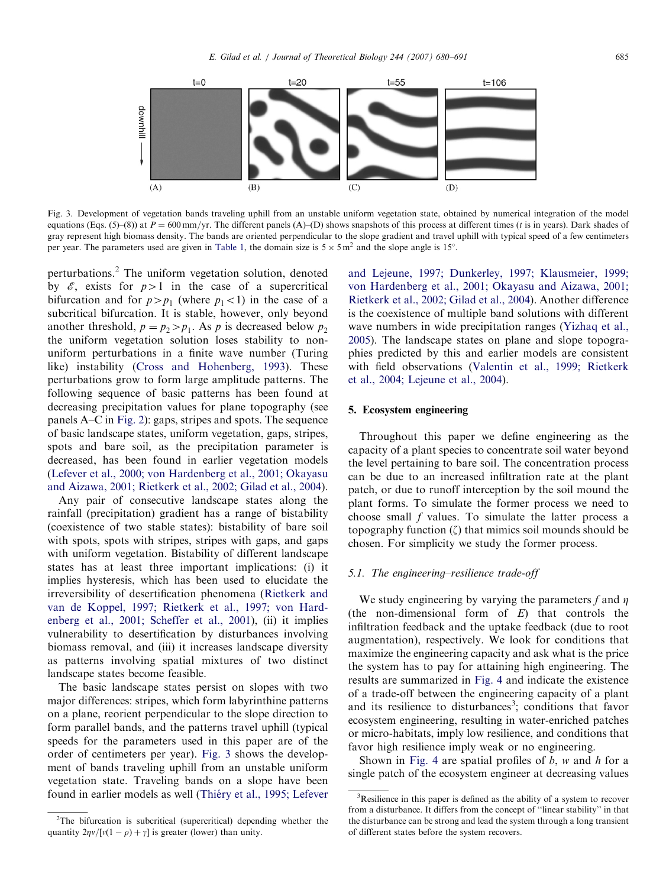

Fig. 3. Development of vegetation bands traveling uphill from an unstable uniform vegetation state, obtained by numerical integration of the model equations (Eqs. (5)–(8)) at  $P = 600 \text{ mm/yr}$ . The different panels (A)–(D) shows snapshots of this process at different times (t is in years). Dark shades of gray represent high biomass density. The bands are oriented perpendicular to the slope gradient and travel uphill with typical speed of a few centimeters per year. The parameters used are given in [Table 1](#page-3-0), the domain size is  $5 \times 5 \text{ m}^2$  and the slope angle is  $15^\circ$ .

perturbations.2 The uniform vegetation solution, denoted by  $\mathscr E$ , exists for  $p>1$  in the case of a supercritical bifurcation and for  $p>p_1$  (where  $p_1<1$ ) in the case of a subcritical bifurcation. It is stable, however, only beyond another threshold,  $p = p_2 > p_1$ . As p is decreased below p, the uniform vegetation solution loses stability to nonuniform perturbations in a finite wave number (Turing like) instability ([Cross and Hohenberg, 1993](#page-10-0)). These perturbations grow to form large amplitude patterns. The following sequence of basic patterns has been found at decreasing precipitation values for plane topography (see panels A–C in [Fig. 2\)](#page-4-0): gaps, stripes and spots. The sequence of basic landscape states, uniform vegetation, gaps, stripes, spots and bare soil, as the precipitation parameter is decreased, has been found in earlier vegetation models ([Lefever et al., 2000; von Hardenberg et al., 2001; Okayasu](#page-11-0) [and Aizawa, 2001; Rietkerk et al., 2002; Gilad et al., 2004\)](#page-11-0).

Any pair of consecutive landscape states along the rainfall (precipitation) gradient has a range of bistability (coexistence of two stable states): bistability of bare soil with spots, spots with stripes, stripes with gaps, and gaps with uniform vegetation. Bistability of different landscape states has at least three important implications: (i) it implies hysteresis, which has been used to elucidate the irreversibility of desertification phenomena [\(Rietkerk and](#page-11-0) [van de Koppel, 1997; Rietkerk et al., 1997; von Hard](#page-11-0)[enberg et al., 2001; Scheffer et al., 2001\)](#page-11-0), (ii) it implies vulnerability to desertification by disturbances involving biomass removal, and (iii) it increases landscape diversity as patterns involving spatial mixtures of two distinct landscape states become feasible.

The basic landscape states persist on slopes with two major differences: stripes, which form labyrinthine patterns on a plane, reorient perpendicular to the slope direction to form parallel bands, and the patterns travel uphill (typical speeds for the parameters used in this paper are of the order of centimeters per year). Fig. 3 shows the development of bands traveling uphill from an unstable uniform vegetation state. Traveling bands on a slope have been found in earlier models as well (Thiéry et al., 1995; Lefever [and Lejeune, 1997; Dunkerley, 1997; Klausmeier, 1999;](#page-11-0) [von Hardenberg et al., 2001; Okayasu and Aizawa, 2001;](#page-11-0) [Rietkerk et al., 2002; Gilad et al., 2004](#page-11-0)). Another difference is the coexistence of multiple band solutions with different wave numbers in wide precipitation ranges [\(Yizhaq et al.,](#page-11-0) [2005](#page-11-0)). The landscape states on plane and slope topographies predicted by this and earlier models are consistent with field observations ([Valentin et al., 1999; Rietkerk](#page-11-0) [et al., 2004; Lejeune et al., 2004](#page-11-0)).

# 5. Ecosystem engineering

Throughout this paper we define engineering as the capacity of a plant species to concentrate soil water beyond the level pertaining to bare soil. The concentration process can be due to an increased infiltration rate at the plant patch, or due to runoff interception by the soil mound the plant forms. To simulate the former process we need to choose small f values. To simulate the latter process a topography function  $\zeta$  that mimics soil mounds should be chosen. For simplicity we study the former process.

# 5.1. The engineering–resilience trade-off

We study engineering by varying the parameters f and  $\eta$ (the non-dimensional form of  $E$ ) that controls the infiltration feedback and the uptake feedback (due to root augmentation), respectively. We look for conditions that maximize the engineering capacity and ask what is the price the system has to pay for attaining high engineering. The results are summarized in [Fig. 4](#page-6-0) and indicate the existence of a trade-off between the engineering capacity of a plant and its resilience to disturbances<sup>3</sup>; conditions that favor ecosystem engineering, resulting in water-enriched patches or micro-habitats, imply low resilience, and conditions that favor high resilience imply weak or no engineering.

Shown in [Fig. 4](#page-6-0) are spatial profiles of  $b$ ,  $w$  and  $h$  for a single patch of the ecosystem engineer at decreasing values

<sup>&</sup>lt;sup>2</sup>The bifurcation is subcritical (supercritical) depending whether the quantity  $2\eta v/[v(1-\rho)+\gamma]$  is greater (lower) than unity.

<sup>&</sup>lt;sup>3</sup>Resilience in this paper is defined as the ability of a system to recover from a disturbance. It differs from the concept of ''linear stability'' in that the disturbance can be strong and lead the system through a long transient of different states before the system recovers.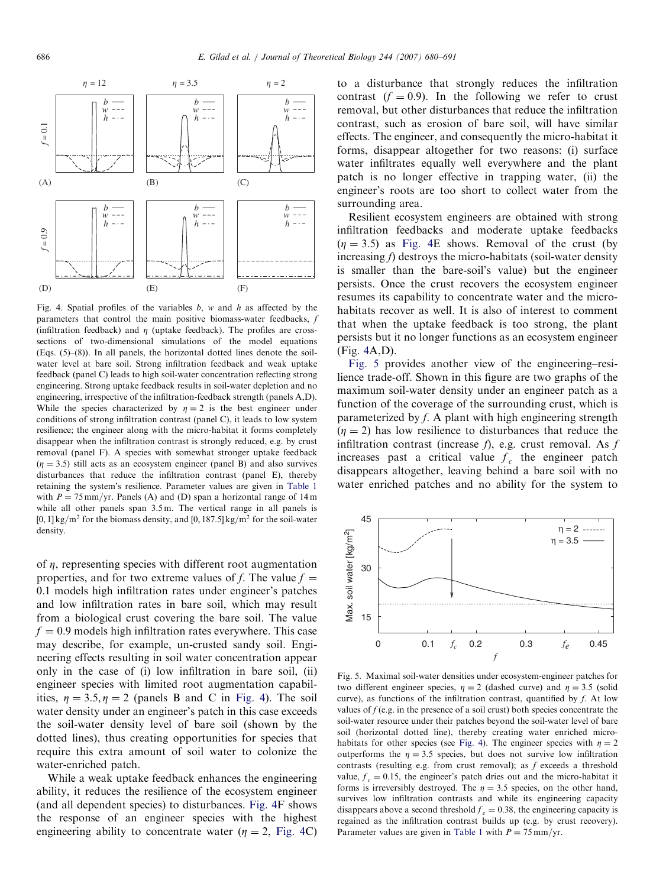<span id="page-6-0"></span>

Fig. 4. Spatial profiles of the variables  $b$ , w and  $h$  as affected by the parameters that control the main positive biomass-water feedbacks, f (infiltration feedback) and  $\eta$  (uptake feedback). The profiles are crosssections of two-dimensional simulations of the model equations (Eqs.  $(5)$ – $(8)$ ). In all panels, the horizontal dotted lines denote the soilwater level at bare soil. Strong infiltration feedback and weak uptake feedback (panel C) leads to high soil-water concentration reflecting strong engineering. Strong uptake feedback results in soil-water depletion and no engineering, irrespective of the infiltration-feedback strength (panels A,D). While the species characterized by  $\eta = 2$  is the best engineer under conditions of strong infiltration contrast (panel C), it leads to low system resilience; the engineer along with the micro-habitat it forms completely disappear when the infiltration contrast is strongly reduced, e.g. by crust removal (panel F). A species with somewhat stronger uptake feedback  $(\eta = 3.5)$  still acts as an ecosystem engineer (panel B) and also survives disturbances that reduce the infiltration contrast (panel E), thereby retaining the system's resilience. Parameter values are given in [Table 1](#page-3-0) with  $P = 75$  mm/yr. Panels (A) and (D) span a horizontal range of 14 m while all other panels span 3.5 m. The vertical range in all panels is [0, 1] kg/m<sup>2</sup> for the biomass density, and [0, 187.5] kg/m<sup>2</sup> for the soil-water density.

of  $\eta$ , representing species with different root augmentation properties, and for two extreme values of f. The value  $f =$ 0:1 models high infiltration rates under engineer's patches and low infiltration rates in bare soil, which may result from a biological crust covering the bare soil. The value  $f = 0.9$  models high infiltration rates everywhere. This case may describe, for example, un-crusted sandy soil. Engineering effects resulting in soil water concentration appear only in the case of (i) low infiltration in bare soil, (ii) engineer species with limited root augmentation capabilities,  $\eta = 3.5, \eta = 2$  (panels B and C in Fig. 4). The soil water density under an engineer's patch in this case exceeds the soil-water density level of bare soil (shown by the dotted lines), thus creating opportunities for species that require this extra amount of soil water to colonize the water-enriched patch.

While a weak uptake feedback enhances the engineering ability, it reduces the resilience of the ecosystem engineer (and all dependent species) to disturbances. Fig. 4F shows the response of an engineer species with the highest engineering ability to concentrate water ( $\eta = 2$ , Fig. 4C) to a disturbance that strongly reduces the infiltration contrast  $(f = 0.9)$ . In the following we refer to crust removal, but other disturbances that reduce the infiltration contrast, such as erosion of bare soil, will have similar effects. The engineer, and consequently the micro-habitat it forms, disappear altogether for two reasons: (i) surface water infiltrates equally well everywhere and the plant patch is no longer effective in trapping water, (ii) the engineer's roots are too short to collect water from the surrounding area.

Resilient ecosystem engineers are obtained with strong infiltration feedbacks and moderate uptake feedbacks  $(n = 3.5)$  as Fig. 4E shows. Removal of the crust (by increasing f) destroys the micro-habitats (soil-water density is smaller than the bare-soil's value) but the engineer persists. Once the crust recovers the ecosystem engineer resumes its capability to concentrate water and the microhabitats recover as well. It is also of interest to comment that when the uptake feedback is too strong, the plant persists but it no longer functions as an ecosystem engineer (Fig. 4A,D).

Fig. 5 provides another view of the engineering–resilience trade-off. Shown in this figure are two graphs of the maximum soil-water density under an engineer patch as a function of the coverage of the surrounding crust, which is parameterized by  $f$ . A plant with high engineering strength  $(n = 2)$  has low resilience to disturbances that reduce the infiltration contrast (increase  $f$ ), e.g. crust removal. As  $f$ increases past a critical value  $f_c$  the engineer patch disappears altogether, leaving behind a bare soil with no water enriched patches and no ability for the system to



Fig. 5. Maximal soil-water densities under ecosystem-engineer patches for two different engineer species,  $\eta = 2$  (dashed curve) and  $\eta = 3.5$  (solid curve), as functions of the infiltration contrast, quantified by  $f$ . At low values of  $f$  (e.g. in the presence of a soil crust) both species concentrate the soil-water resource under their patches beyond the soil-water level of bare soil (horizontal dotted line), thereby creating water enriched microhabitats for other species (see Fig. 4). The engineer species with  $\eta = 2$ outperforms the  $\eta = 3.5$  species, but does not survive low infiltration contrasts (resulting e.g. from crust removal); as  $f$  exceeds a threshold value,  $f_c = 0.15$ , the engineer's patch dries out and the micro-habitat it forms is irreversibly destroyed. The  $\eta = 3.5$  species, on the other hand, survives low infiltration contrasts and while its engineering capacity disappears above a second threshold  $f_e = 0.38$ , the engineering capacity is regained as the infiltration contrast builds up (e.g. by crust recovery). Parameter values are given in [Table 1](#page-3-0) with  $P = 75$  mm/yr.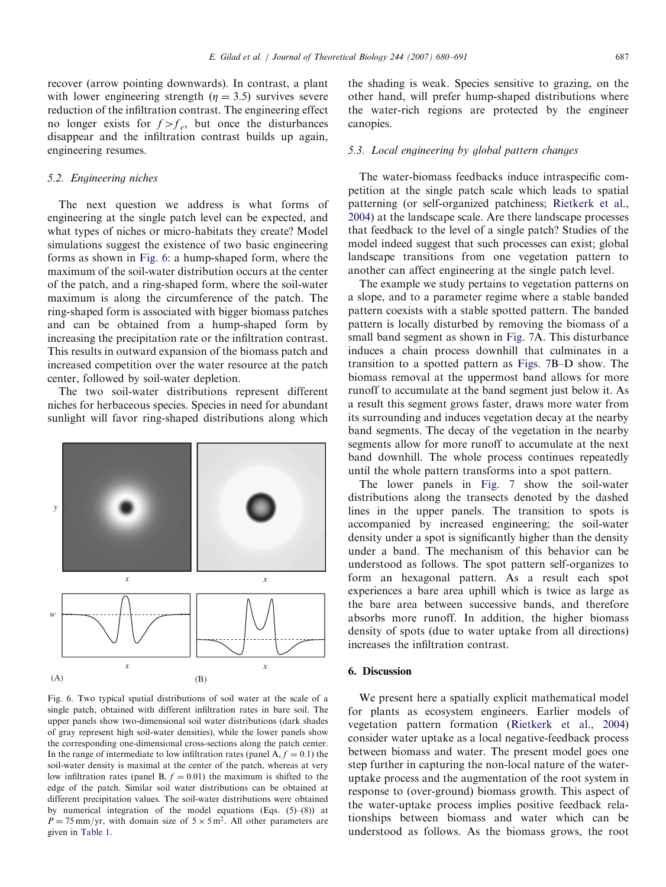recover (arrow pointing downwards). In contrast, a plant with lower engineering strength  $(n = 3.5)$  survives severe reduction of the infiltration contrast. The engineering effect no longer exists for  $f > f_e$ , but once the disturbances disappear and the infiltration contrast builds up again, engineering resumes.

## 5.2. Engineering niches

The next question we address is what forms of engineering at the single patch level can be expected, and what types of niches or micro-habitats they create? Model simulations suggest the existence of two basic engineering forms as shown in Fig. 6: a hump-shaped form, where the maximum of the soil-water distribution occurs at the center of the patch, and a ring-shaped form, where the soil-water maximum is along the circumference of the patch. The ring-shaped form is associated with bigger biomass patches and can be obtained from a hump-shaped form by increasing the precipitation rate or the infiltration contrast. This results in outward expansion of the biomass patch and increased competition over the water resource at the patch center, followed by soil-water depletion.

The two soil-water distributions represent different niches for herbaceous species. Species in need for abundant sunlight will favor ring-shaped distributions along which



Fig. 6. Two typical spatial distributions of soil water at the scale of a single patch, obtained with different infiltration rates in bare soil. The upper panels show two-dimensional soil water distributions (dark shades of gray represent high soil-water densities), while the lower panels show the corresponding one-dimensional cross-sections along the patch center. In the range of intermediate to low infiltration rates (panel  $A, f = 0.1$ ) the soil-water density is maximal at the center of the patch, whereas at very low infiltration rates (panel B,  $f = 0.01$ ) the maximum is shifted to the edge of the patch. Similar soil water distributions can be obtained at different precipitation values. The soil-water distributions were obtained by numerical integration of the model equations (Eqs. (5)–(8)) at  $P = 75$  mm/yr, with domain size of  $5 \times 5$  m<sup>2</sup>. All other parameters are given in [Table 1](#page-3-0).

the shading is weak. Species sensitive to grazing, on the other hand, will prefer hump-shaped distributions where the water-rich regions are protected by the engineer canopies.

## 5.3. Local engineering by global pattern changes

The water-biomass feedbacks induce intraspecific competition at the single patch scale which leads to spatial patterning (or self-organized patchiness; [Rietkerk et al.,](#page-11-0) [2004](#page-11-0)) at the landscape scale. Are there landscape processes that feedback to the level of a single patch? Studies of the model indeed suggest that such processes can exist; global landscape transitions from one vegetation pattern to another can affect engineering at the single patch level.

The example we study pertains to vegetation patterns on a slope, and to a parameter regime where a stable banded pattern coexists with a stable spotted pattern. The banded pattern is locally disturbed by removing the biomass of a small band segment as shown in [Fig. 7A](#page-8-0). This disturbance induces a chain process downhill that culminates in a transition to a spotted pattern as [Figs. 7B](#page-8-0)–D show. The biomass removal at the uppermost band allows for more runoff to accumulate at the band segment just below it. As a result this segment grows faster, draws more water from its surrounding and induces vegetation decay at the nearby band segments. The decay of the vegetation in the nearby segments allow for more runoff to accumulate at the next band downhill. The whole process continues repeatedly until the whole pattern transforms into a spot pattern.

The lower panels in [Fig. 7](#page-8-0) show the soil-water distributions along the transects denoted by the dashed lines in the upper panels. The transition to spots is accompanied by increased engineering; the soil-water density under a spot is significantly higher than the density under a band. The mechanism of this behavior can be understood as follows. The spot pattern self-organizes to form an hexagonal pattern. As a result each spot experiences a bare area uphill which is twice as large as the bare area between successive bands, and therefore absorbs more runoff. In addition, the higher biomass density of spots (due to water uptake from all directions) increases the infiltration contrast.

#### 6. Discussion

We present here a spatially explicit mathematical model for plants as ecosystem engineers. Earlier models of vegetation pattern formation ([Rietkerk et al., 2004](#page-11-0)) consider water uptake as a local negative-feedback process between biomass and water. The present model goes one step further in capturing the non-local nature of the wateruptake process and the augmentation of the root system in response to (over-ground) biomass growth. This aspect of the water-uptake process implies positive feedback relationships between biomass and water which can be understood as follows. As the biomass grows, the root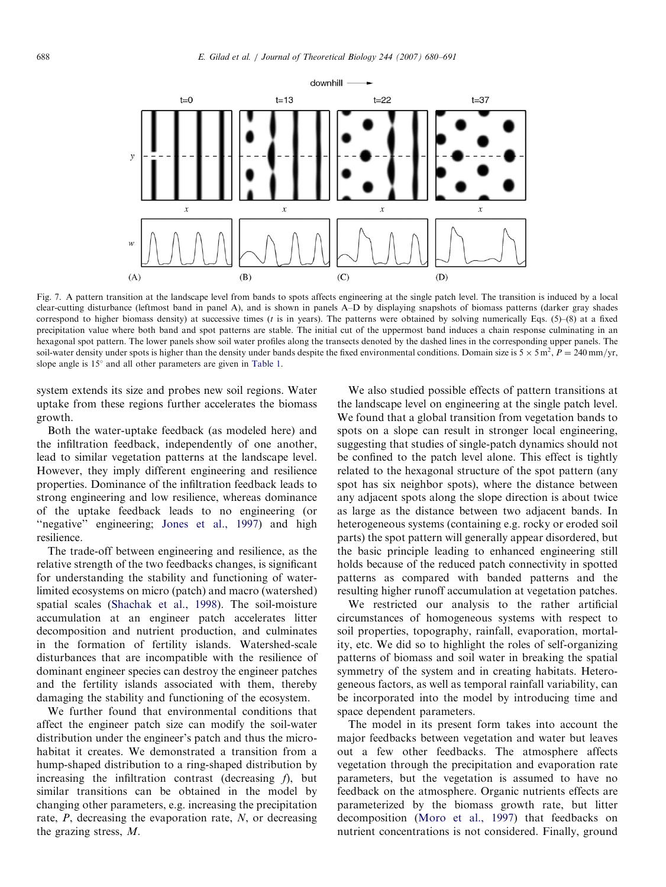<span id="page-8-0"></span>

Fig. 7. A pattern transition at the landscape level from bands to spots affects engineering at the single patch level. The transition is induced by a local clear-cutting disturbance (leftmost band in panel A), and is shown in panels A–D by displaying snapshots of biomass patterns (darker gray shades correspond to higher biomass density) at successive times (t is in years). The patterns were obtained by solving numerically Eqs. (5)–(8) at a fixed precipitation value where both band and spot patterns are stable. The initial cut of the uppermost band induces a chain response culminating in an hexagonal spot pattern. The lower panels show soil water profiles along the transects denoted by the dashed lines in the corresponding upper panels. The soil-water density under spots is higher than the density under bands despite the fixed environmental conditions. Domain size is  $5 \times 5 \text{ m}^2$ ,  $P = 240 \text{ mm/yr}$ , slope angle is  $15^{\circ}$  and all other parameters are given in [Table 1](#page-3-0).

system extends its size and probes new soil regions. Water uptake from these regions further accelerates the biomass growth.

Both the water-uptake feedback (as modeled here) and the infiltration feedback, independently of one another, lead to similar vegetation patterns at the landscape level. However, they imply different engineering and resilience properties. Dominance of the infiltration feedback leads to strong engineering and low resilience, whereas dominance of the uptake feedback leads to no engineering (or "negative" engineering; [Jones et al., 1997](#page-10-0)) and high resilience.

The trade-off between engineering and resilience, as the relative strength of the two feedbacks changes, is significant for understanding the stability and functioning of waterlimited ecosystems on micro (patch) and macro (watershed) spatial scales ([Shachak et al., 1998](#page-11-0)). The soil-moisture accumulation at an engineer patch accelerates litter decomposition and nutrient production, and culminates in the formation of fertility islands. Watershed-scale disturbances that are incompatible with the resilience of dominant engineer species can destroy the engineer patches and the fertility islands associated with them, thereby damaging the stability and functioning of the ecosystem.

We further found that environmental conditions that affect the engineer patch size can modify the soil-water distribution under the engineer's patch and thus the microhabitat it creates. We demonstrated a transition from a hump-shaped distribution to a ring-shaped distribution by increasing the infiltration contrast (decreasing  $f$ ), but similar transitions can be obtained in the model by changing other parameters, e.g. increasing the precipitation rate, P, decreasing the evaporation rate, N, or decreasing the grazing stress, M.

We also studied possible effects of pattern transitions at the landscape level on engineering at the single patch level. We found that a global transition from vegetation bands to spots on a slope can result in stronger local engineering, suggesting that studies of single-patch dynamics should not be confined to the patch level alone. This effect is tightly related to the hexagonal structure of the spot pattern (any spot has six neighbor spots), where the distance between any adjacent spots along the slope direction is about twice as large as the distance between two adjacent bands. In heterogeneous systems (containing e.g. rocky or eroded soil parts) the spot pattern will generally appear disordered, but the basic principle leading to enhanced engineering still holds because of the reduced patch connectivity in spotted patterns as compared with banded patterns and the resulting higher runoff accumulation at vegetation patches.

We restricted our analysis to the rather artificial circumstances of homogeneous systems with respect to soil properties, topography, rainfall, evaporation, mortality, etc. We did so to highlight the roles of self-organizing patterns of biomass and soil water in breaking the spatial symmetry of the system and in creating habitats. Heterogeneous factors, as well as temporal rainfall variability, can be incorporated into the model by introducing time and space dependent parameters.

The model in its present form takes into account the major feedbacks between vegetation and water but leaves out a few other feedbacks. The atmosphere affects vegetation through the precipitation and evaporation rate parameters, but the vegetation is assumed to have no feedback on the atmosphere. Organic nutrients effects are parameterized by the biomass growth rate, but litter decomposition [\(Moro et al., 1997\)](#page-11-0) that feedbacks on nutrient concentrations is not considered. Finally, ground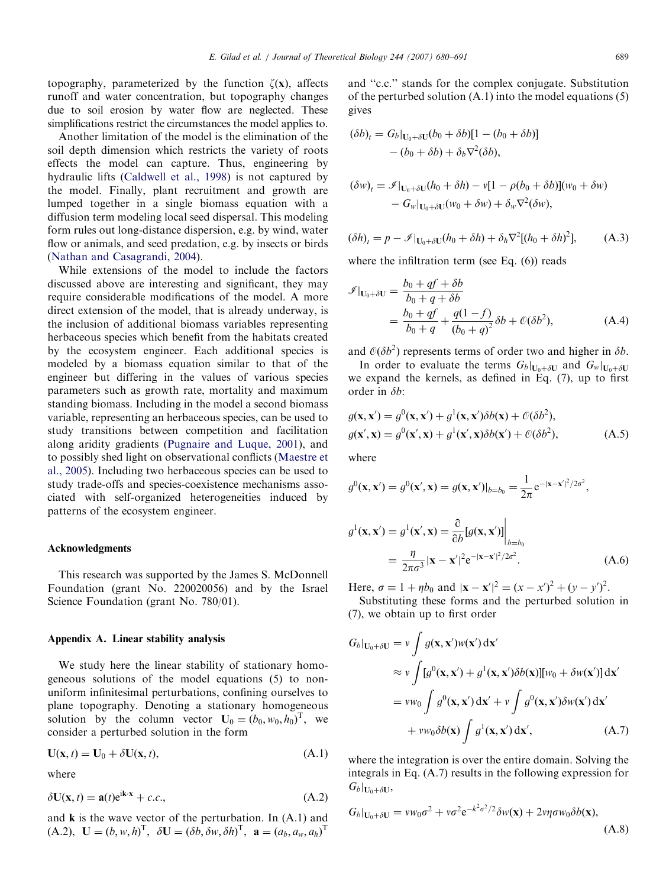topography, parameterized by the function  $\zeta(\mathbf{x})$ , affects runoff and water concentration, but topography changes due to soil erosion by water flow are neglected. These simplifications restrict the circumstances the model applies to.

Another limitation of the model is the elimination of the soil depth dimension which restricts the variety of roots effects the model can capture. Thus, engineering by hydraulic lifts [\(Caldwell et al., 1998](#page-10-0)) is not captured by the model. Finally, plant recruitment and growth are lumped together in a single biomass equation with a diffusion term modeling local seed dispersal. This modeling form rules out long-distance dispersion, e.g. by wind, water flow or animals, and seed predation, e.g. by insects or birds ([Nathan and Casagrandi, 2004\)](#page-11-0).

While extensions of the model to include the factors discussed above are interesting and significant, they may require considerable modifications of the model. A more direct extension of the model, that is already underway, is the inclusion of additional biomass variables representing herbaceous species which benefit from the habitats created by the ecosystem engineer. Each additional species is modeled by a biomass equation similar to that of the engineer but differing in the values of various species parameters such as growth rate, mortality and maximum standing biomass. Including in the model a second biomass variable, representing an herbaceous species, can be used to study transitions between competition and facilitation along aridity gradients ([Pugnaire and Luque, 2001](#page-11-0)), and to possibly shed light on observational conflicts ([Maestre et](#page-11-0) [al., 2005](#page-11-0)). Including two herbaceous species can be used to study trade-offs and species-coexistence mechanisms associated with self-organized heterogeneities induced by patterns of the ecosystem engineer.

#### Acknowledgments

This research was supported by the James S. McDonnell Foundation (grant No. 220020056) and by the Israel Science Foundation (grant No. 780/01).

#### Appendix A. Linear stability analysis

We study here the linear stability of stationary homogeneous solutions of the model equations (5) to nonuniform infinitesimal perturbations, confining ourselves to plane topography. Denoting a stationary homogeneous solution by the column vector  $\mathbf{U}_0 = (b_0, w_0, h_0)^\text{T}$ , we consider a perturbed solution in the form

$$
\mathbf{U}(\mathbf{x},t) = \mathbf{U}_0 + \delta \mathbf{U}(\mathbf{x},t),\tag{A.1}
$$

where

$$
\delta \mathbf{U}(\mathbf{x}, t) = \mathbf{a}(t) e^{i\mathbf{k} \cdot \mathbf{x}} + c.c.,\tag{A.2}
$$

and  $\bf{k}$  is the wave vector of the perturbation. In (A.1) and (A.2),  $\mathbf{U} = (b, w, h)^{\mathrm{T}}, \ \delta \mathbf{U} = (\delta b, \delta w, \delta h)^{\mathrm{T}}, \ \mathbf{a} = (a_b, a_w, a_h)^{\mathrm{T}}$ 

and ''c.c.'' stands for the complex conjugate. Substitution of the perturbed solution (A.1) into the model equations (5) gives

$$
(\delta b)_t = G_b|_{U_0 + \delta U}(b_0 + \delta b)[1 - (b_0 + \delta b)]
$$
  
- 
$$
(b_0 + \delta b) + \delta_b \nabla^2(\delta b),
$$

$$
(\delta w)_t = \mathcal{I}|_{\mathbf{U}_0 + \delta \mathbf{U}}(h_0 + \delta h) - v[1 - \rho(b_0 + \delta b)](w_0 + \delta w)
$$
  
-  $G_w|_{\mathbf{U}_0 + \delta \mathbf{U}}(w_0 + \delta w) + \delta_w \nabla^2(\delta w),$ 

$$
(\delta h)_t = p - \mathcal{I}|_{U_0 + \delta U}(h_0 + \delta h) + \delta_h \nabla^2 [(h_0 + \delta h)^2], \tag{A.3}
$$

where the infiltration term (see Eq.  $(6)$ ) reads

$$
\mathcal{I}|_{U_0 + \delta U} = \frac{b_0 + qf + \delta b}{b_0 + q + \delta b} \n= \frac{b_0 + qf}{b_0 + q} + \frac{q(1 - f)}{(b_0 + q)^2} \delta b + \mathcal{O}(\delta b^2),
$$
\n(A.4)

and  $\mathcal{O}(\delta b^2)$  represents terms of order two and higher in  $\delta b$ .

In order to evaluate the terms  $G_b|_{U_0+\delta U}$  and  $G_w|_{U_0+\delta U}$ we expand the kernels, as defined in Eq. (7), up to first order in  $\delta b$ :

$$
g(\mathbf{x}, \mathbf{x}') = g^0(\mathbf{x}, \mathbf{x}') + g^1(\mathbf{x}, \mathbf{x}') \delta b(\mathbf{x}) + \mathcal{O}(\delta b^2),
$$
  
\n
$$
g(\mathbf{x}', \mathbf{x}) = g^0(\mathbf{x}', \mathbf{x}) + g^1(\mathbf{x}', \mathbf{x}) \delta b(\mathbf{x}') + \mathcal{O}(\delta b^2),
$$
\n(A.5)

where

$$
g^{0}(\mathbf{x}, \mathbf{x}') = g^{0}(\mathbf{x}', \mathbf{x}) = g(\mathbf{x}, \mathbf{x}')|_{b=b_0} = \frac{1}{2\pi} e^{-|\mathbf{x} - \mathbf{x}'|^{2}/2\sigma^{2}},
$$

$$
g^{1}(\mathbf{x}, \mathbf{x}') = g^{1}(\mathbf{x}', \mathbf{x}) = \frac{\partial}{\partial b} [g(\mathbf{x}, \mathbf{x}')] \Big|_{b=b_0}
$$
  
= 
$$
\frac{\eta}{2\pi\sigma^3} |\mathbf{x} - \mathbf{x}'|^{2} e^{-|\mathbf{x} - \mathbf{x}'|^{2}/2\sigma^{2}}.
$$
 (A.6)

Here,  $\sigma \equiv 1 + \eta b_0$  and  $|\mathbf{x} - \mathbf{x}'|^2 = (x - x')^2 + (y - y')^2$ .

Substituting these forms and the perturbed solution in (7), we obtain up to first order

$$
G_b|_{U_0+\delta U} = v \int g(\mathbf{x}, \mathbf{x}')w(\mathbf{x}') d\mathbf{x}'
$$
  
\n
$$
\approx v \int [g^0(\mathbf{x}, \mathbf{x}') + g^1(\mathbf{x}, \mathbf{x}') \delta b(\mathbf{x})][w_0 + \delta w(\mathbf{x}')] d\mathbf{x}'
$$
  
\n
$$
= vw_0 \int g^0(\mathbf{x}, \mathbf{x}') d\mathbf{x}' + v \int g^0(\mathbf{x}, \mathbf{x}') \delta w(\mathbf{x}') d\mathbf{x}'
$$
  
\n
$$
+ vw_0 \delta b(\mathbf{x}) \int g^1(\mathbf{x}, \mathbf{x}') d\mathbf{x}', \qquad (A.7)
$$

where the integration is over the entire domain. Solving the integrals in Eq. (A.7) results in the following expression for  $G_b|_{U_0+\delta U},$ 

$$
G_b|_{U_0+\delta U} = v w_0 \sigma^2 + v \sigma^2 e^{-k^2 \sigma^2/2} \delta w(\mathbf{x}) + 2v \eta \sigma w_0 \delta b(\mathbf{x}),
$$
\n(A.8)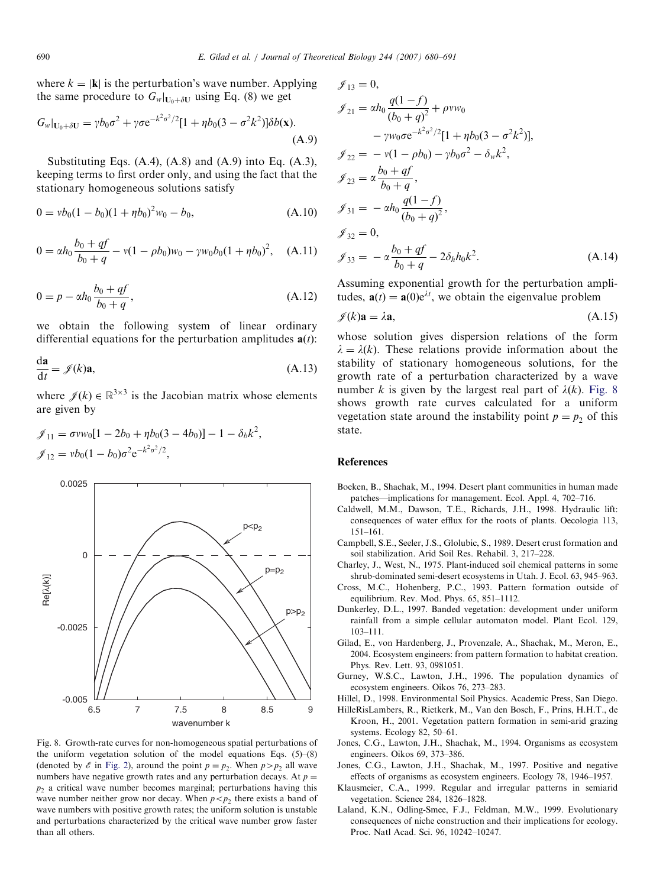<span id="page-10-0"></span>where  $k = |\mathbf{k}|$  is the perturbation's wave number. Applying the same procedure to  $G_w|_{U_0+\delta U}$  using Eq. (8) we get

$$
G_w|_{U_0+\delta U} = \gamma b_0 \sigma^2 + \gamma \sigma e^{-k^2 \sigma^2/2} [1 + \eta b_0 (3 - \sigma^2 k^2)] \delta b(\mathbf{x}).
$$
\n(A.9)

Substituting Eqs.  $(A.4)$ ,  $(A.8)$  and  $(A.9)$  into Eq.  $(A.3)$ , keeping terms to first order only, and using the fact that the stationary homogeneous solutions satisfy

$$
0 = vb_0(1 - b_0)(1 + \eta b_0)^2 w_0 - b_0,
$$
\n(A.10)

$$
0 = \alpha h_0 \frac{b_0 + qf}{b_0 + q} - v(1 - \rho b_0)w_0 - \gamma w_0 b_0 (1 + \eta b_0)^2, \quad (A.11)
$$

$$
0 = p - \alpha h_0 \frac{b_0 + qf}{b_0 + q},
$$
\n(A.12)

we obtain the following system of linear ordinary differential equations for the perturbation amplitudes  $a(t)$ :

$$
\frac{\mathrm{d}\mathbf{a}}{\mathrm{d}t} = \mathcal{J}(k)\mathbf{a},\tag{A.13}
$$

where  $\mathcal{J}(k) \in \mathbb{R}^{3 \times 3}$  is the Jacobian matrix whose elements are given by

$$
\mathcal{J}_{11} = \sigma v w_0 [1 - 2b_0 + \eta b_0 (3 - 4b_0)] - 1 - \delta_b k^2,
$$
  

$$
\mathcal{J}_{12} = v b_0 (1 - b_0) \sigma^2 e^{-k^2 \sigma^2/2},
$$



Fig. 8. Growth-rate curves for non-homogeneous spatial perturbations of the uniform vegetation solution of the model equations Eqs. (5)–(8) (denoted by  $\mathscr E$  in [Fig. 2](#page-4-0)), around the point  $p = p_2$ . When  $p > p_2$  all wave numbers have negative growth rates and any perturbation decays. At  $p =$  $p<sub>2</sub>$  a critical wave number becomes marginal; perturbations having this wave number neither grow nor decay. When  $p < p_2$  there exists a band of wave numbers with positive growth rates; the uniform solution is unstable and perturbations characterized by the critical wave number grow faster than all others.

$$
\mathcal{J}_{13} = 0,
$$
  
\n
$$
\mathcal{J}_{21} = \alpha h_0 \frac{q(1-f)}{(b_0 + q)^2} + \rho v w_0
$$
  
\n
$$
- \gamma w_0 \sigma e^{-k^2 \sigma^2/2} [1 + \eta b_0 (3 - \sigma^2 k^2)],
$$
  
\n
$$
\mathcal{J}_{22} = -v(1 - \rho b_0) - \gamma b_0 \sigma^2 - \delta_w k^2,
$$
  
\n
$$
\mathcal{J}_{23} = \alpha \frac{b_0 + qf}{b_0 + q},
$$
  
\n
$$
\mathcal{J}_{31} = -\alpha h_0 \frac{q(1-f)}{(b_0 + q)^2},
$$
  
\n
$$
\mathcal{J}_{32} = 0,
$$
  
\n
$$
\mathcal{J}_{33} = -\alpha \frac{b_0 + qf}{b_0 + q} - 2\delta_h h_0 k^2.
$$
 (A.14)

Assuming exponential growth for the perturbation amplitudes,  $\mathbf{a}(t) = \mathbf{a}(0)e^{\lambda t}$ , we obtain the eigenvalue problem

$$
\mathscr{J}(k)\mathbf{a} = \lambda \mathbf{a},\tag{A.15}
$$

whose solution gives dispersion relations of the form  $\lambda = \lambda(k)$ . These relations provide information about the stability of stationary homogeneous solutions, for the growth rate of a perturbation characterized by a wave number k is given by the largest real part of  $\lambda(k)$ . Fig. 8 shows growth rate curves calculated for a uniform vegetation state around the instability point  $p = p_2$  of this state.

## References

- Boeken, B., Shachak, M., 1994. Desert plant communities in human made patches—implications for management. Ecol. Appl. 4, 702–716.
- Caldwell, M.M., Dawson, T.E., Richards, J.H., 1998. Hydraulic lift: consequences of water efflux for the roots of plants. Oecologia 113, 151–161.
- Campbell, S.E., Seeler, J.S., Glolubic, S., 1989. Desert crust formation and soil stabilization. Arid Soil Res. Rehabil. 3, 217–228.
- Charley, J., West, N., 1975. Plant-induced soil chemical patterns in some shrub-dominated semi-desert ecosystems in Utah. J. Ecol. 63, 945–963.
- Cross, M.C., Hohenberg, P.C., 1993. Pattern formation outside of equilibrium. Rev. Mod. Phys. 65, 851–1112.
- Dunkerley, D.L., 1997. Banded vegetation: development under uniform rainfall from a simple cellular automaton model. Plant Ecol. 129, 103–111.
- Gilad, E., von Hardenberg, J., Provenzale, A., Shachak, M., Meron, E., 2004. Ecosystem engineers: from pattern formation to habitat creation. Phys. Rev. Lett. 93, 0981051.
- Gurney, W.S.C., Lawton, J.H., 1996. The population dynamics of ecosystem engineers. Oikos 76, 273–283.

Hillel, D., 1998. Environmental Soil Physics. Academic Press, San Diego.

- HilleRisLambers, R., Rietkerk, M., Van den Bosch, F., Prins, H.H.T., de Kroon, H., 2001. Vegetation pattern formation in semi-arid grazing systems. Ecology 82, 50–61.
- Jones, C.G., Lawton, J.H., Shachak, M., 1994. Organisms as ecosystem engineers. Oikos 69, 373–386.
- Jones, C.G., Lawton, J.H., Shachak, M., 1997. Positive and negative effects of organisms as ecosystem engineers. Ecology 78, 1946–1957.
- Klausmeier, C.A., 1999. Regular and irregular patterns in semiarid vegetation. Science 284, 1826–1828.
- Laland, K.N., Odling-Smee, F.J., Feldman, M.W., 1999. Evolutionary consequences of niche construction and their implications for ecology. Proc. Natl Acad. Sci. 96, 10242–10247.